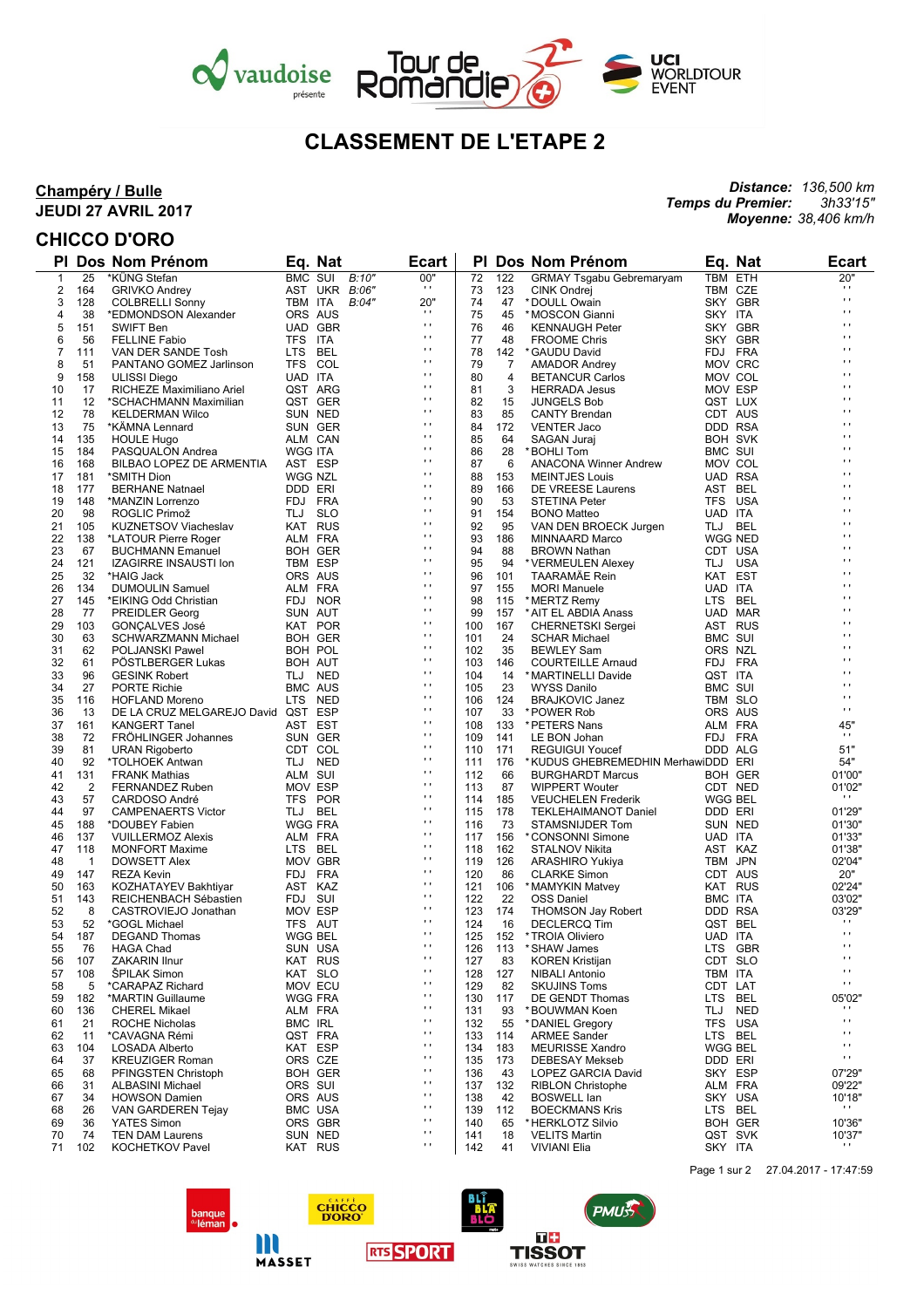



# **CLASSEMENT DE L'ETAPE 2**

### **Champéry / Bulle JEUDI 27 AVRIL 2017**

## **CHICCO D'ORO**

 $\overline{\phantom{a}}$ 

#### *Distance: 136,500 km Temps du Premier: Moyenne: 38,406 km/h 3h33'15"*

|              |                | <b>PI Dos Nom Prénom</b>                            |                           | Eq. Nat        | <b>Ecart</b>                   |            |            | PI Dos Nom Prénom                                            |                | Eq. Nat               | <b>Ecart</b>         |
|--------------|----------------|-----------------------------------------------------|---------------------------|----------------|--------------------------------|------------|------------|--------------------------------------------------------------|----------------|-----------------------|----------------------|
| $\mathbf{1}$ | 25             | *KÜNG Stefan                                        | BMC SUI                   | B:10"          | 00"                            | 72         | 122        | <b>GRMAY Tsgabu Gebremaryam</b>                              |                | TBM ETH               | 20"                  |
| 2            | 164            | <b>GRIVKO Andrey</b>                                |                           | AST UKR B:06"  | $\mathbf{r}$                   | 73         | 123        | <b>CINK Ondrej</b>                                           |                | TBM CZE               | $\blacksquare$<br>o, |
| 3            | 128            | <b>COLBRELLI Sonny</b>                              | TBM ITA                   | B:04"          | 20"                            | 74         | 47         | * DOULL Owain                                                |                | SKY GBR               | Ĥ,                   |
| 4            | 38             | *EDMONDSON Alexander                                | ORS AUS                   |                | $\mathbf{r}$<br>$\mathbf{r}$   | 75         | 45         | *MOSCON Gianni                                               | SKY ITA        |                       | $\cdot$              |
| 5<br>6       | 151<br>56      | <b>SWIFT Ben</b><br><b>FELLINE Fabio</b>            | TFS ITA                   | UAD GBR        | $\blacksquare$                 | 76<br>77   | 46<br>48   | <b>KENNAUGH Peter</b><br><b>FROOME Chris</b>                 |                | SKY GBR<br>SKY GBR    | $\blacksquare$       |
| 7            | 111            | VAN DER SANDE Tosh                                  | LTS BEL                   |                | $\mathbf{r}$                   | 78         | 142        | * GAUDU David                                                |                | FDJ FRA               | $\cdot$              |
| 8            | 51             | PANTANO GOMEZ Jarlinson                             | TFS COL                   |                | $\cdots$                       | 79         | 7          | <b>AMADOR Andrey</b>                                         |                | MOV CRC               | $\cdot$              |
| 9            | 158            | ULISSI Diego                                        | UAD ITA                   |                | Ĥ,                             | 80         | 4          | <b>BETANCUR Carlos</b>                                       |                | MOV COL               | п                    |
| 10           | 17             | RICHEZE Maximiliano Ariel                           | QST ARG                   |                | $\cdots$                       | 81         | 3          | <b>HERRADA Jesus</b>                                         |                | MOV ESP               | $\cdot$              |
| 11           | 12             | *SCHACHMANN Maximilian                              |                           | QST GER        | $\cdots$                       | 82         | 15         | <b>JUNGELS Bob</b>                                           |                | QST LUX               | $\cdot$              |
| 12           | 78             | <b>KELDERMAN Wilco</b>                              | SUN NED                   |                | Ĥ,                             | 83         | 85         | <b>CANTY Brendan</b>                                         |                | CDT AUS               | п                    |
| 13           | 75             | *KÄMNA Lennard                                      |                           | SUN GER        | $\cdots$                       | 84         | 172        | <b>VENTER Jaco</b>                                           |                | DDD RSA               | $\cdot$              |
| 14           | 135            | <b>HOULE Hugo</b>                                   | ALM CAN                   |                | $\cdots$<br>Ĥ,                 | 85         | 64         | SAGAN Juraj                                                  |                | <b>BOH SVK</b>        | $\cdot$<br>п         |
| 15           | 184            | PASQUALON Andrea                                    | <b>WGG ITA</b>            |                | $\cdots$                       | 86         | 28         | *BOHLI Tom                                                   | BMC SUI        |                       | $\cdot$              |
| 16           | 168            | BILBAO LOPEZ DE ARMENTIA<br>*SMITH Dion             | AST ESP<br><b>WGG NZL</b> |                | $\cdots$                       | 87<br>88   | 6          | <b>ANACONA Winner Andrew</b>                                 |                | MOV COL<br>UAD RSA    | $\cdot$              |
| 17<br>18     | 181<br>177     | <b>BERHANE Natnael</b>                              | DDD ERI                   |                | Ĥ,                             | 89         | 153<br>166 | <b>MEINTJES Louis</b><br>DE VREESE Laurens                   |                | AST BEL               | п                    |
| 19           | 148            | *MANZIN Lorrenzo                                    | FDJ FRA                   |                | $\cdots$                       | 90         | 53         | <b>STETINA Peter</b>                                         |                | TFS USA               | $\cdot$              |
| 20           | 98             | ROGLIC Primož                                       | TLJ                       | <b>SLO</b>     | $\cdots$                       | 91         | 154        | <b>BONO Matteo</b>                                           | UAD ITA        |                       | $\cdot$              |
| 21           | 105            | <b>KUZNETSOV Viacheslav</b>                         | KAT RUS                   |                | Ĥ,                             | 92         | 95         | VAN DEN BROECK Jurgen                                        | TLJ BEL        |                       | п                    |
| 22           | 138            | *LATOUR Pierre Roger                                | ALM FRA                   |                | $\cdots$                       | 93         | 186        | MINNAARD Marco                                               |                | <b>WGG NED</b>        | $\cdot$              |
| 23           | 67             | <b>BUCHMANN Emanuel</b>                             |                           | <b>BOH GER</b> | $\cdots$                       | 94         | 88         | <b>BROWN Nathan</b>                                          |                | CDT USA               | $\cdot$              |
| 24           | 121            | <b>IZAGIRRE INSAUSTI Ion</b>                        | TBM ESP                   |                | $\blacksquare$                 | 95         | 94         | * VERMEULEN Alexey                                           |                | TLJ USA               | п                    |
| 25           | 32             | *HAIG Jack                                          | ORS AUS                   |                | $\cdots$<br>$\cdots$           | 96         | 101        | TAARAMÄE Rein                                                | KAT EST        |                       | $\cdot$<br>$\cdot$   |
| 26           | 134            | <b>DUMOULIN Samuel</b>                              | ALM FRA                   |                | $\blacksquare$                 | 97         | 155        | <b>MORI Manuele</b>                                          | UAD ITA        |                       | п                    |
| 27           | 145            | *EIKING Odd Christian                               |                           | FDJ NOR        | $\cdots$                       | 98         | 115        | * MERTZ Remy                                                 | LTS BEL        |                       | $\cdot$              |
| 28<br>29     | 77<br>103      | <b>PREIDLER Georg</b>                               | SUN AUT                   | KAT POR        | $\cdots$                       | 99<br>100  | 157<br>167 | * AIT EL ABDIA Anass<br><b>CHERNETSKI Sergei</b>             |                | UAD MAR<br>AST RUS    | $\cdot$              |
| 30           | 63             | <b>GONÇALVES José</b><br><b>SCHWARZMANN Michael</b> |                           | <b>BOH GER</b> | $\blacksquare$                 | 101        | 24         | <b>SCHAR Michael</b>                                         | BMC SUI        |                       | п                    |
| 31           | 62             | POLJANSKI Pawel                                     | BOH POL                   |                | $\cdots$                       | 102        | 35         | <b>BEWLEY Sam</b>                                            | ORS NZL        |                       | $\cdot$              |
| 32           | 61             | PÖSTLBERGER Lukas                                   | <b>BOH AUT</b>            |                | $\cdots$                       | 103        | 146        | <b>COURTEILLE Arnaud</b>                                     |                | FDJ FRA               | $\cdot$              |
| 33           | 96             | <b>GESINK Robert</b>                                | TLJ NED                   |                | $\mathbf{r}$                   | 104        | 14         | *MARTINELLI Davide                                           | QST ITA        |                       | $\blacksquare$       |
| 34           | 27             | <b>PORTE Richie</b>                                 | <b>BMC AUS</b>            |                | $\mathbf{r}$                   | 105        | 23         | <b>WYSS Danilo</b>                                           | <b>BMC SUI</b> |                       | o,                   |
| 35           | 116            | <b>HOFLAND Moreno</b>                               | LTS NED                   |                | $\cdots$                       | 106        | 124        | <b>BRAJKOVIC Janez</b>                                       |                | TBM SLO               | $\cdot$              |
| 36           | 13             | DE LA CRUZ MELGAREJO David QST ESP                  |                           |                | $\mathbf{r}$                   | 107        | 33         | *POWER Rob                                                   |                | ORS AUS               | $\mathbf{r}$         |
| 37           | 161            | <b>KANGERT Tanel</b>                                | AST EST                   |                | $\mathbf{r}$<br>$\cdots$       | 108        | 133        | * PETERS Nans                                                |                | ALM FRA               | 45"<br>$\mathbf{r}$  |
| 38           | 72             | <b>FROHLINGER Johannes</b>                          |                           | SUN GER        | $\mathbf{r}$                   | 109        | 141        | LE BON Johan                                                 |                | FDJ FRA               |                      |
| 39<br>40     | 81<br>92       | <b>URAN Rigoberto</b><br>*TOLHOEK Antwan            | CDT COL<br>TLJ NED        |                | $\mathbf{r}$                   | 110<br>111 | 171<br>176 | <b>REGUIGUI Youcef</b><br>*KUDUS GHEBREMEDHIN MerhawiDDD ERI |                | DDD ALG               | 51"<br>54"           |
| 41           | 131            | <b>FRANK Mathias</b>                                | ALM SUI                   |                | $\cdots$                       | 112        | 66         | BURGHARDT Marcus                                             |                | <b>BOH GER</b>        | 01'00"               |
| 42           | 2              | FERNANDEZ Ruben                                     | MOV ESP                   |                | $\mathbf{r}$                   | 113        | 87         | <b>WIPPERT Wouter</b>                                        |                | CDT NED               | 01'02"               |
| 43           | 57             | CARDOSO André                                       | TFS POR                   |                | $\mathbf{r}$                   | 114        | 185        | <b>VEUCHELEN Frederik</b>                                    | <b>WGG BEL</b> |                       | $\cdots$             |
| 44           | 97             | <b>CAMPENAERTS Victor</b>                           | TLJ BEL                   |                | $\cdots$                       | 115        | 178        | <b>TEKLEHAIMANOT Daniel</b>                                  | DDD ERI        |                       | 01'29"               |
| 45           | 188            | *DOUBEY Fabien                                      | <b>WGG FRA</b>            |                | $\mathbf{r}$                   | 116        | 73         | STAMSNIJDER Tom                                              |                | SUN NED               | 01'30"               |
| 46           | 137            | <b>VUILLERMOZ Alexis</b>                            | ALM FRA                   |                | $\mathbf{r}$                   | 117        | 156        | *CONSONNI Simone                                             | UAD ITA        |                       | 01'33"               |
| 47           | 118            | <b>MONFORT Maxime</b>                               | LTS BEL                   |                | $\cdots$<br>$\mathbf{r}$       | 118        | 162        | <b>STALNOV Nikita</b>                                        |                | AST KAZ               | 01'38"               |
| 48           | $\overline{1}$ | <b>DOWSETT Alex</b>                                 | MOV GBR                   |                | $\mathbf{r}$                   | 119        | 126        | ARASHIRO Yukiya                                              |                | TBM JPN               | 02'04"               |
| 49<br>50     | 147<br>163     | <b>REZA Kevin</b><br>KOZHATAYEV Bakhtiyar           | FDJ FRA<br>AST KAZ        |                | $\cdots$                       | 120<br>121 | 86<br>106  | <b>CLARKE Simon</b><br>* MAMYKIN Matvey                      |                | CDT AUS<br>KAT RUS    | 20"<br>02'24"        |
| 51           | 143            | REICHENBACH Sébastien                               | FDJ SUI                   |                | $\mathbf{r}$                   | 122        | 22         | <b>OSS Daniel</b>                                            | BMC ITA        |                       | 03'02"               |
| 52           | 8              | CASTROVIEJO Jonathan                                | MOV ESP                   |                | $\mathbf{r}$                   | 123        | 174        | <b>THOMSON Jay Robert</b>                                    |                | DDD RSA               | 03'29"               |
| 53           | 52             | *GOGL Michael                                       | TFS AUT                   |                | $\cdots$                       | 124        | 16         | <b>DECLERCQ Tim</b>                                          |                | QST BEL               | .,                   |
| 54           | 187            | <b>DEGAND Thomas</b>                                | <b>WGG BEL</b>            |                | $\mathbf{r}$                   | 125        | 152        | *TROIA Oliviero                                              | UAD ITA        |                       | $\mathbf{r}$         |
| 55           | 76             | <b>HAGA Chad</b>                                    | SUN USA                   |                | $\mathbf{r}$ .                 | 126        | 113        | *SHAW James                                                  |                | LTS GBR               | $\mathbf{r}$ .       |
| 56           | 107            | <b>ZAKARIN Ilnur</b>                                |                           | KAT RUS        | $\mathbf{r}$                   | 127        | 83         | <b>KOREN Kristijan</b>                                       |                | CDT SLO               | $\mathbf{r}$         |
| 57           | 108            | <b>SPILAK Simon</b>                                 | KAT SLO                   |                | $\mathbf{r}$                   | 128        | 127        | <b>NIBALI Antonio</b>                                        | TBM ITA        |                       | $\mathbf{r}$         |
| 58           | 5              | *CARAPAZ Richard                                    | MOV ECU                   |                | $\blacksquare$<br>$\mathbf{r}$ | 129        | 82         | <b>SKUJINS Toms</b>                                          | CDT LAT        |                       | $\blacksquare$       |
| 59           | 182            | *MARTIN Guillaume                                   | <b>WGG FRA</b>            |                | $\mathbf{r}$                   | 130        | 117        | DE GENDT Thomas                                              | LTS.           | BEL                   | 05'02"<br>$\cdots$   |
| 60           | 136            | <b>CHEREL Mikael</b>                                | ALM FRA                   |                | $\blacksquare$                 | 131        | 93         | <b>BOUWMAN Koen</b>                                          | TLJ            | <b>NED</b><br>TFS USA | п                    |
| 61<br>62     | 21<br>11       | <b>ROCHE Nicholas</b><br>*CAVAGNA Rémi              | <b>BMC IRL</b><br>QST FRA |                | $\mathbf{r}$                   | 132<br>133 | 55<br>114  | * DANIEL Gregory<br><b>ARMEE Sander</b>                      |                | LTS BEL               | $\blacksquare$       |
| 63           | 104            | <b>LOSADA Alberto</b>                               | KAT ESP                   |                | $\mathbf{r}$                   | 134        | 183        | <b>MEURISSE Xandro</b>                                       |                | WGG BEL               | $\mathbf{r}$         |
| 64           | 37             | <b>KREUZIGER Roman</b>                              | ORS CZE                   |                | $\blacksquare$                 | 135        | 173        | <b>DEBESAY Mekseb</b>                                        | DDD ERI        |                       | $\blacksquare$       |
| 65           | 68             | PFINGSTEN Christoph                                 |                           | BOH GER        | $\mathbf{r}$                   | 136        | 43         | <b>LOPEZ GARCIA David</b>                                    |                | SKY ESP               | 07'29"               |
| 66           | 31             | <b>ALBASINI Michael</b>                             | ORS SUI                   |                | $\mathbf{r}$                   | 137        | 132        | <b>RIBLON Christophe</b>                                     |                | ALM FRA               | 09'22"               |
| 67           | 34             | <b>HOWSON Damien</b>                                | ORS AUS                   |                | $\blacksquare$                 | 138        | 42         | <b>BOSWELL lan</b>                                           |                | SKY USA               | 10'18"               |
| 68           | 26             | VAN GARDEREN Tejay                                  |                           | <b>BMC USA</b> | $\mathbf{r}$                   | 139        | 112        | <b>BOECKMANS Kris</b>                                        |                | LTS BEL               | .,                   |
| 69           | 36             | YATES Simon                                         |                           | ORS GBR        | $\blacksquare$                 | 140        | 65         | *HERKLOTZ Silvio                                             |                | <b>BOH GER</b>        | 10'36"               |
| 70           | 74             | <b>TEN DAM Laurens</b>                              |                           | SUN NED        | $\mathbf{r}$<br>$\blacksquare$ | 141        | 18         | <b>VELITS Martin</b>                                         |                | QST SVK               | 10'37"<br>н.         |
| 71           | 102            | <b>KOCHETKOV Pavel</b>                              |                           | KAT RUS        |                                | 142        | 41         | <b>VIVIANI Elia</b>                                          | SKY ITA        |                       |                      |

**CHICCO**<br>**DORO** 

**RTS SPORT** 

banque<br><sup>du</sup>léman

m

MASSET



PMUSS

ne.

**TISSOT**